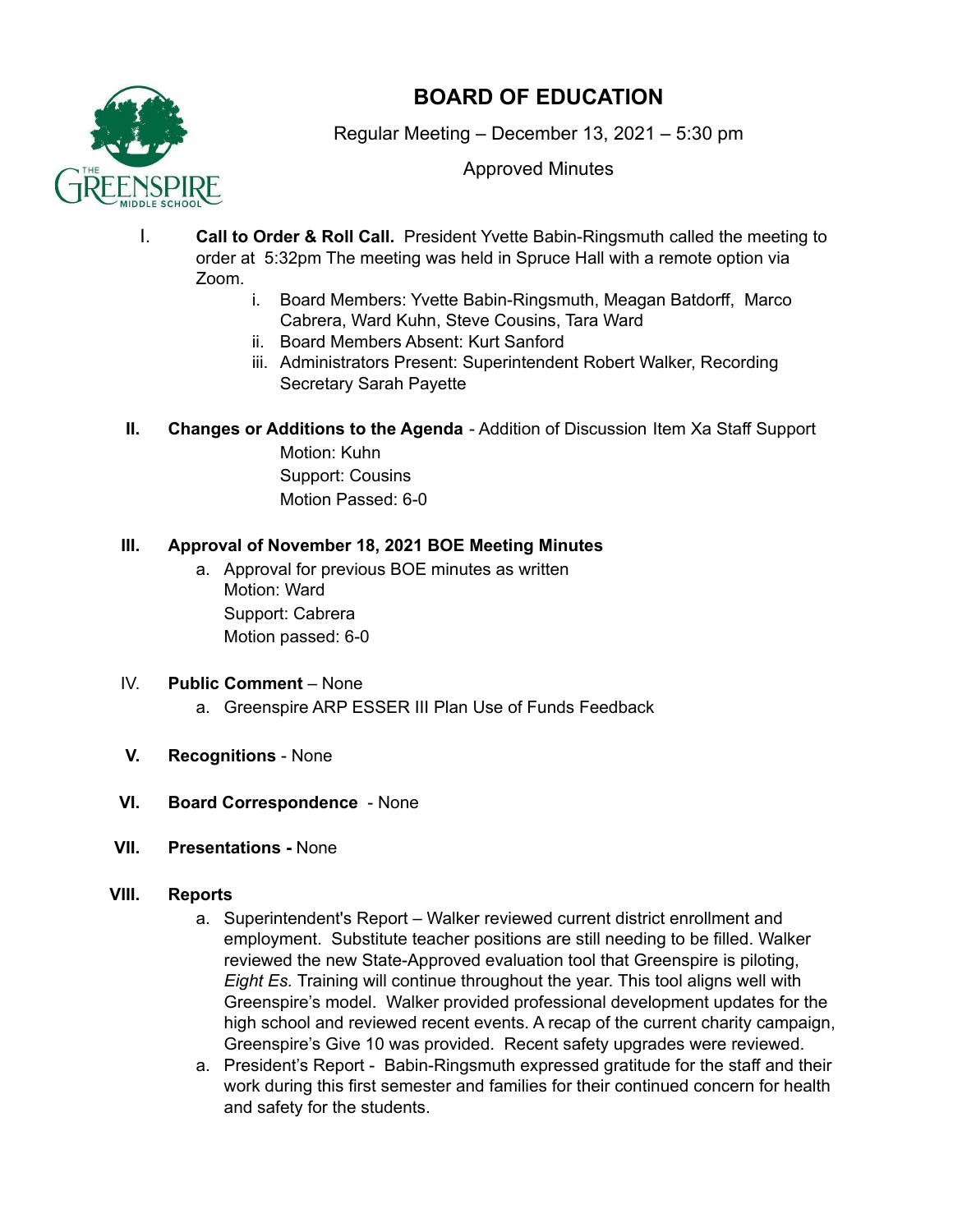

# **BOARD OF EDUCATION**

Regular Meeting – December 13, 2021 – 5:30 pm

Approved Minutes

- I. **Call to Order & Roll Call.** President Yvette Babin-Ringsmuth called the meeting to order at 5:32pm The meeting was held in Spruce Hall with a remote option via Zoom.
	- i. Board Members: Yvette Babin-Ringsmuth, Meagan Batdorff, Marco Cabrera, Ward Kuhn, Steve Cousins, Tara Ward
	- ii. Board Members Absent: Kurt Sanford
	- iii. Administrators Present: Superintendent Robert Walker, Recording Secretary Sarah Payette

# **II. Changes or Additions to the Agenda** - Addition of Discussion Item Xa Staff Support

Motion: Kuhn Support: Cousins Motion Passed: 6-0

# **III. Approval of November 18, 2021 BOE Meeting Minutes**

a. Approval for previous BOE minutes as written Motion: Ward Support: Cabrera Motion passed: 6-0

# IV. **Public Comment** – None

- a. Greenspire ARP ESSER III Plan Use of Funds Feedback
- **V. Recognitions** None
- **VI. Board Correspondence** None
- **VII. Presentations -** None

# **VIII. Reports**

- a. Superintendent's Report Walker reviewed current district enrollment and employment. Substitute teacher positions are still needing to be filled. Walker reviewed the new State-Approved evaluation tool that Greenspire is piloting, *Eight Es.* Training will continue throughout the year. This tool aligns well with Greenspire's model. Walker provided professional development updates for the high school and reviewed recent events. A recap of the current charity campaign, Greenspire's Give 10 was provided. Recent safety upgrades were reviewed.
- a. President's Report Babin-Ringsmuth expressed gratitude for the staff and their work during this first semester and families for their continued concern for health and safety for the students.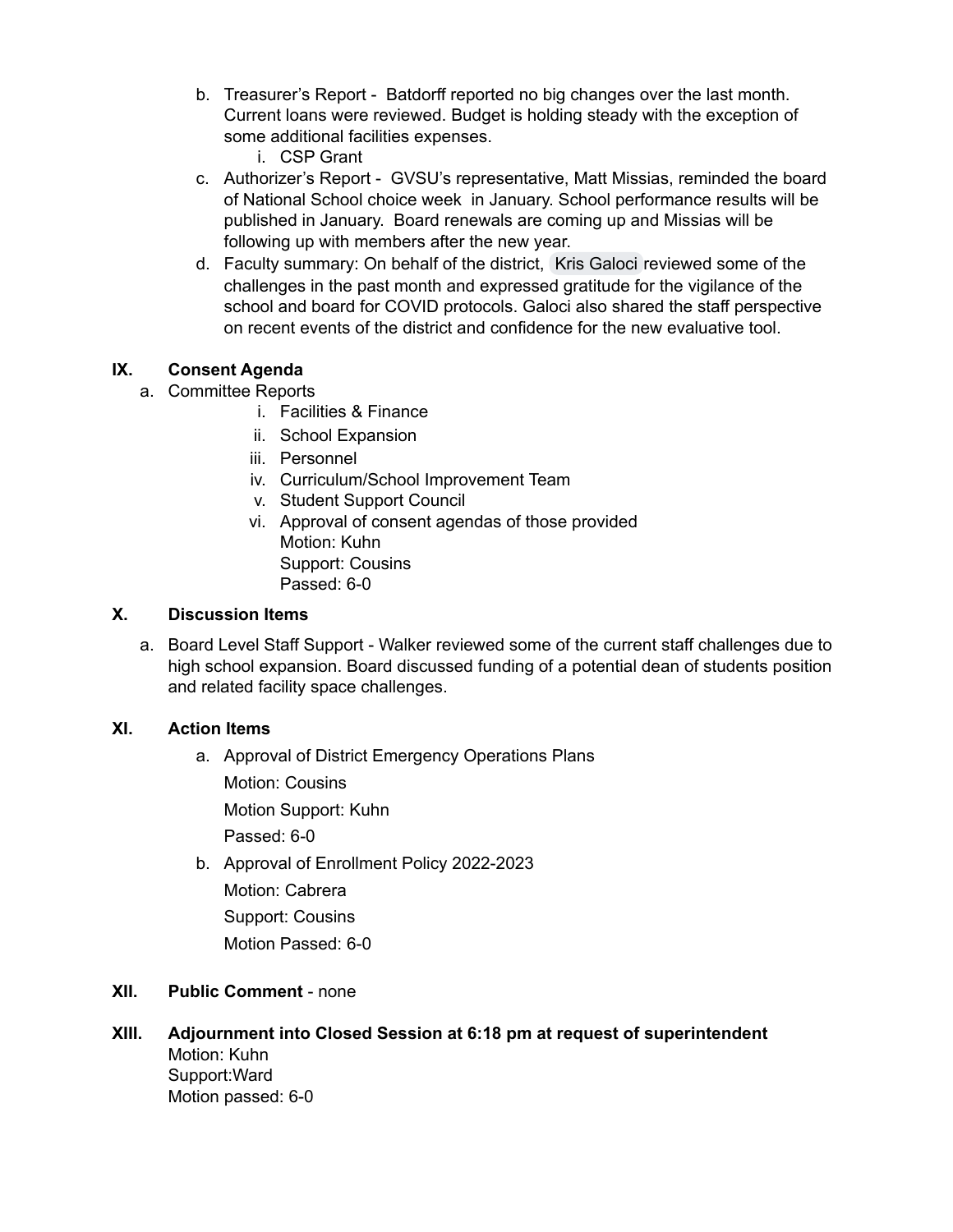- b. Treasurer's Report Batdorff reported no big changes over the last month. Current loans were reviewed. Budget is holding steady with the exception of some additional facilities expenses.
	- i. CSP Grant
- c. Authorizer's Report GVSU's representative, Matt Missias, reminded the board of National School choice week in January. School performance results will be published in January. Board renewals are coming up and Missias will be following up with members after the new year.
- d. Faculty summary: On behalf of the district, Kris [Galoci](mailto:kris.galoci@greenspireschool.org) reviewed some of the challenges in the past month and expressed gratitude for the vigilance of the school and board for COVID protocols. Galoci also shared the staff perspective on recent events of the district and confidence for the new evaluative tool.

## **IX. Consent Agenda**

- a. Committee Reports
	- i. Facilities & Finance
	- ii. School Expansion
	- iii. Personnel
	- iv. Curriculum/School Improvement Team
	- v. Student Support Council
	- vi. Approval of consent agendas of those provided Motion: Kuhn Support: Cousins Passed: 6-0

## **X. Discussion Items**

a. Board Level Staff Support - Walker reviewed some of the current staff challenges due to high school expansion. Board discussed funding of a potential dean of students position and related facility space challenges.

## **XI. Action Items**

- a. Approval of District Emergency Operations Plans
	- Motion: Cousins

Motion Support: Kuhn

Passed: 6-0

b. Approval of Enrollment Policy 2022-2023 Motion: Cabrera Support: Cousins Motion Passed: 6-0

## **XII. Public Comment** - none

**XIII. Adjournment into Closed Session at 6:18 pm at request of superintendent** Motion: Kuhn Support:Ward Motion passed: 6-0